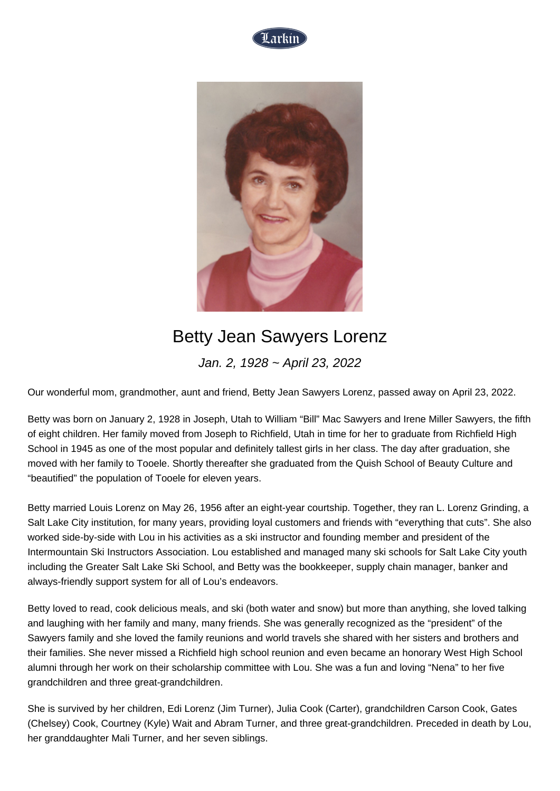



## Betty Jean Sawyers Lorenz

Jan. 2, 1928 ~ April 23, 2022

Our wonderful mom, grandmother, aunt and friend, Betty Jean Sawyers Lorenz, passed away on April 23, 2022.

Betty was born on January 2, 1928 in Joseph, Utah to William "Bill" Mac Sawyers and Irene Miller Sawyers, the fifth of eight children. Her family moved from Joseph to Richfield, Utah in time for her to graduate from Richfield High School in 1945 as one of the most popular and definitely tallest girls in her class. The day after graduation, she moved with her family to Tooele. Shortly thereafter she graduated from the Quish School of Beauty Culture and "beautified" the population of Tooele for eleven years.

Betty married Louis Lorenz on May 26, 1956 after an eight-year courtship. Together, they ran L. Lorenz Grinding, a Salt Lake City institution, for many years, providing loyal customers and friends with "everything that cuts". She also worked side-by-side with Lou in his activities as a ski instructor and founding member and president of the Intermountain Ski Instructors Association. Lou established and managed many ski schools for Salt Lake City youth including the Greater Salt Lake Ski School, and Betty was the bookkeeper, supply chain manager, banker and always-friendly support system for all of Lou's endeavors.

Betty loved to read, cook delicious meals, and ski (both water and snow) but more than anything, she loved talking and laughing with her family and many, many friends. She was generally recognized as the "president" of the Sawyers family and she loved the family reunions and world travels she shared with her sisters and brothers and their families. She never missed a Richfield high school reunion and even became an honorary West High School alumni through her work on their scholarship committee with Lou. She was a fun and loving "Nena" to her five grandchildren and three great-grandchildren.

She is survived by her children, Edi Lorenz (Jim Turner), Julia Cook (Carter), grandchildren Carson Cook, Gates (Chelsey) Cook, Courtney (Kyle) Wait and Abram Turner, and three great-grandchildren. Preceded in death by Lou, her granddaughter Mali Turner, and her seven siblings.